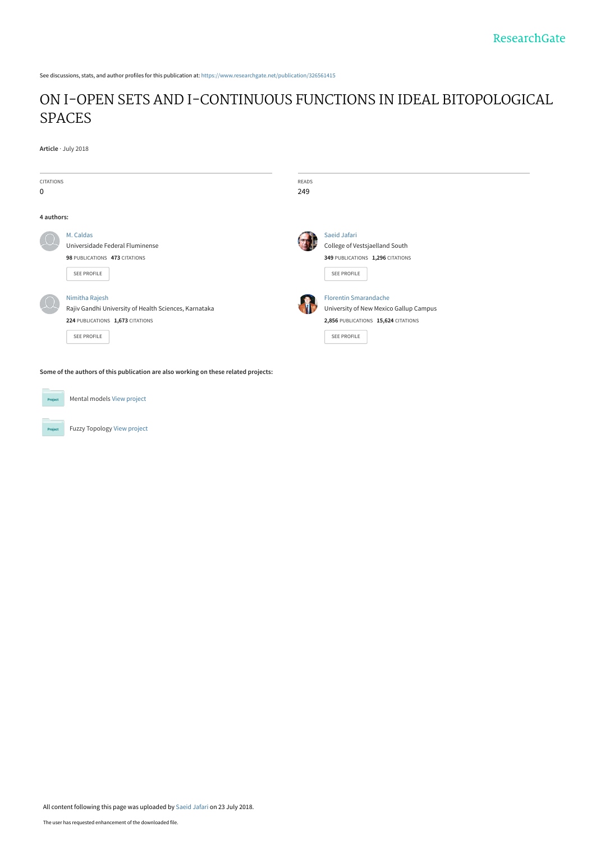See discussions, stats, and author profiles for this publication at: [https://www.researchgate.net/publication/326561415](https://www.researchgate.net/publication/326561415_ON_I-OPEN_SETS_AND_I-CONTINUOUS_FUNCTIONS_IN_IDEAL_BITOPOLOGICAL_SPACES?enrichId=rgreq-423319f6baeeaaf0aacbbf1c3245c44c-XXX&enrichSource=Y292ZXJQYWdlOzMyNjU2MTQxNTtBUzo2NTE2ODU2MjE5MzIwMzlAMTUzMjM4NTM2ODk4OA%3D%3D&el=1_x_2&_esc=publicationCoverPdf)

# [ON I-OPEN SETS AND I-CONTINUOUS FUNCTIONS IN IDEAL BITOPOLOGICAL](https://www.researchgate.net/publication/326561415_ON_I-OPEN_SETS_AND_I-CONTINUOUS_FUNCTIONS_IN_IDEAL_BITOPOLOGICAL_SPACES?enrichId=rgreq-423319f6baeeaaf0aacbbf1c3245c44c-XXX&enrichSource=Y292ZXJQYWdlOzMyNjU2MTQxNTtBUzo2NTE2ODU2MjE5MzIwMzlAMTUzMjM4NTM2ODk4OA%3D%3D&el=1_x_3&_esc=publicationCoverPdf) SPACES

**Article** · July 2018

| <b>CITATIONS</b><br>$\mathbf 0$ |                                                                                                                                   | <b>READS</b><br>249 |                                                                                                                              |
|---------------------------------|-----------------------------------------------------------------------------------------------------------------------------------|---------------------|------------------------------------------------------------------------------------------------------------------------------|
| 4 authors:                      |                                                                                                                                   |                     |                                                                                                                              |
|                                 | M. Caldas<br>Universidade Federal Fluminense<br>98 PUBLICATIONS 473 CITATIONS<br><b>SEE PROFILE</b>                               |                     | Saeid Jafari<br>College of Vestsjaelland South<br>349 PUBLICATIONS 1,296 CITATIONS<br>SEE PROFILE                            |
|                                 | Nimitha Rajesh<br>Rajiv Gandhi University of Health Sciences, Karnataka<br>224 PUBLICATIONS 1,673 CITATIONS<br><b>SEE PROFILE</b> |                     | <b>Florentin Smarandache</b><br>University of New Mexico Gallup Campus<br>2,856 PUBLICATIONS 15,624 CITATIONS<br>SEE PROFILE |

**Some of the authors of this publication are also working on these related projects:**



Fuzzy Topology [View project](https://www.researchgate.net/project/Fuzzy-Topology?enrichId=rgreq-423319f6baeeaaf0aacbbf1c3245c44c-XXX&enrichSource=Y292ZXJQYWdlOzMyNjU2MTQxNTtBUzo2NTE2ODU2MjE5MzIwMzlAMTUzMjM4NTM2ODk4OA%3D%3D&el=1_x_9&_esc=publicationCoverPdf)

Mental models [View project](https://www.researchgate.net/project/Mental-models-2?enrichId=rgreq-423319f6baeeaaf0aacbbf1c3245c44c-XXX&enrichSource=Y292ZXJQYWdlOzMyNjU2MTQxNTtBUzo2NTE2ODU2MjE5MzIwMzlAMTUzMjM4NTM2ODk4OA%3D%3D&el=1_x_9&_esc=publicationCoverPdf)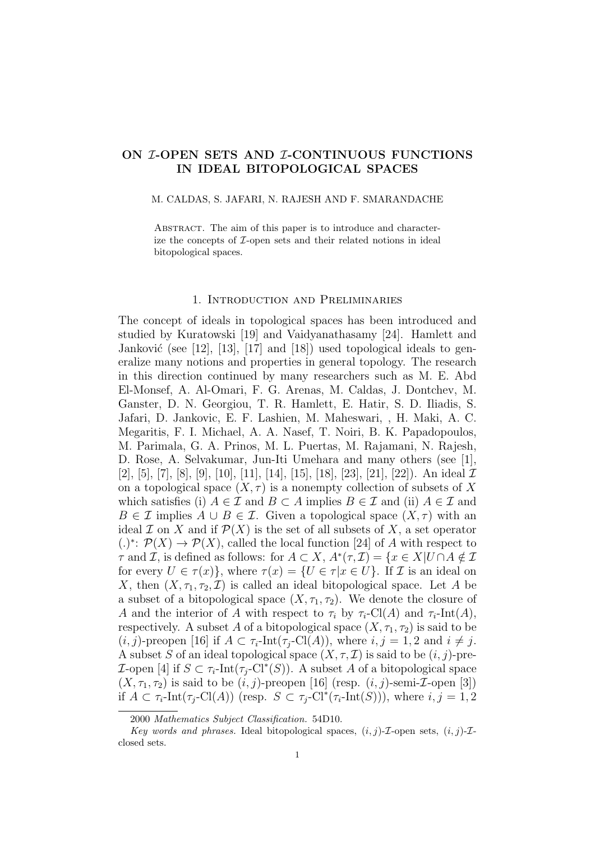## ON *I*-OPEN SETS AND *I*-CONTINUOUS FUNCTIONS IN IDEAL BITOPOLOGICAL SPACES

### M. CALDAS, S. JAFARI, N. RAJESH AND F. SMARANDACHE

ABSTRACT. The aim of this paper is to introduce and characterize the concepts of I-open sets and their related notions in ideal bitopological spaces.

## 1. Introduction and Preliminaries

The concept of ideals in topological spaces has been introduced and studied by Kuratowski [19] and Vaidyanathasamy [24]. Hamlett and Janković (see [12], [13], [17] and [18]) used topological ideals to generalize many notions and properties in general topology. The research in this direction continued by many researchers such as M. E. Abd El-Monsef, A. Al-Omari, F. G. Arenas, M. Caldas, J. Dontchev, M. Ganster, D. N. Georgiou, T. R. Hamlett, E. Hatir, S. D. Iliadis, S. Jafari, D. Jankovic, E. F. Lashien, M. Maheswari, , H. Maki, A. C. Megaritis, F. I. Michael, A. A. Nasef, T. Noiri, B. K. Papadopoulos, M. Parimala, G. A. Prinos, M. L. Puertas, M. Rajamani, N. Rajesh, D. Rose, A. Selvakumar, Jun-Iti Umehara and many others (see [1], [2], [5], [7], [8], [9], [10], [11], [14], [15], [18], [23], [21], [22]). An ideal  $\mathcal I$ on a topological space  $(X, \tau)$  is a nonempty collection of subsets of X which satisfies (i)  $A \in \mathcal{I}$  and  $B \subset A$  implies  $B \in \mathcal{I}$  and (ii)  $A \in \mathcal{I}$  and  $B \in \mathcal{I}$  implies  $A \cup B \in \mathcal{I}$ . Given a topological space  $(X, \tau)$  with an ideal  $\mathcal I$  on X and if  $\mathcal P(X)$  is the set of all subsets of X, a set operator (.)<sup>\*</sup>:  $\mathcal{P}(X)$  →  $\mathcal{P}(X)$ , called the local function [24] of A with respect to  $\tau$  and  $\mathcal{I}$ , is defined as follows: for  $A \subset X$ ,  $A^*(\tau, \mathcal{I}) = \{x \in X | U \cap A \notin \mathcal{I}\}$ for every  $U \in \tau(x)$ , where  $\tau(x) = \{U \in \tau | x \in U\}$ . If  $\mathcal I$  is an ideal on X, then  $(X, \tau_1, \tau_2, \mathcal{I})$  is called an ideal bitopological space. Let A be a subset of a bitopological space  $(X, \tau_1, \tau_2)$ . We denote the closure of A and the interior of A with respect to  $\tau_i$  by  $\tau_i$ -Cl(A) and  $\tau_i$ -Int(A), respectively. A subset A of a bitopological space  $(X, \tau_1, \tau_2)$  is said to be  $(i, j)$ -preopen [16] if  $A \subset \tau_i$ -Int $(\tau_i$ -Cl(A)), where  $i, j = 1, 2$  and  $i \neq j$ . A subset S of an ideal topological space  $(X, \tau, \mathcal{I})$  is said to be  $(i, j)$ -pre-L-open [4] if  $S \subset \tau_i$ -Int $(\tau_j$ -Cl<sup>\*</sup>(S)). A subset A of a bitopological space  $(X, \tau_1, \tau_2)$  is said to be  $(i, j)$ -preopen [16] (resp.  $(i, j)$ -semi-*I*-open [3]) if  $A \subset \tau_i$ -Int $(\tau_j$ -Cl(A)) (resp.  $S \subset \tau_j$ -Cl<sup>\*</sup>( $\tau_i$ -Int(S))), where  $i, j = 1, 2$ 

<sup>2000</sup> Mathematics Subject Classification. 54D10.

Key words and phrases. Ideal bitopological spaces,  $(i, j)$ -*I*-open sets,  $(i, j)$ -*I*closed sets.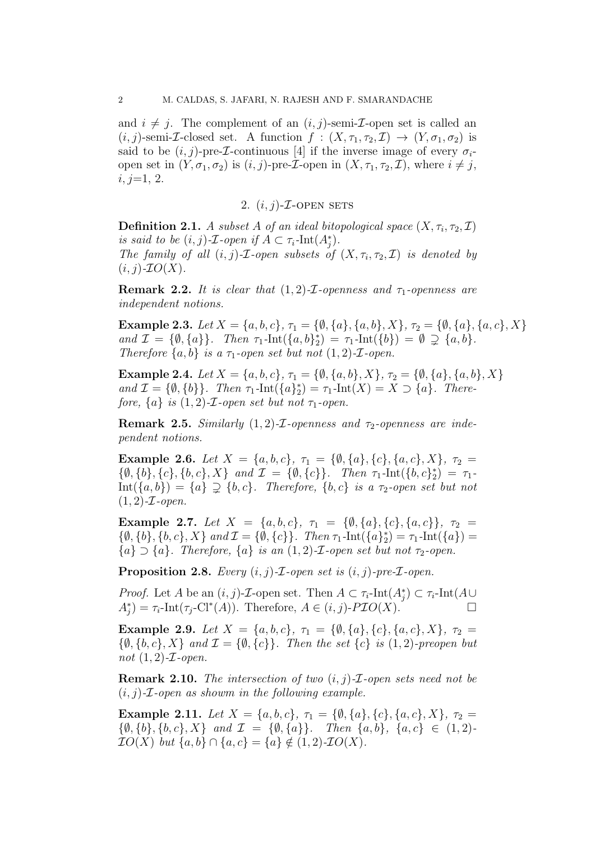and  $i \neq j$ . The complement of an  $(i, j)$ -semi-*I*-open set is called an  $(i, j)$ -semi-*I*-closed set. A function  $f : (X, \tau_1, \tau_2, \mathcal{I}) \to (Y, \sigma_1, \sigma_2)$  is said to be  $(i, j)$ -pre-*I*-continuous [4] if the inverse image of every  $\sigma_i$ open set in  $(Y, \sigma_1, \sigma_2)$  is  $(i, j)$ -pre-*L*-open in  $(X, \tau_1, \tau_2, \mathcal{I})$ , where  $i \neq j$ ,  $i, j=1, 2.$ 

# 2.  $(i, j)$ - $\mathcal{I}$ -OPEN SETS

**Definition 2.1.** A subset A of an ideal bitopological space  $(X, \tau_i, \tau_2, \mathcal{I})$ is said to be  $(i, j)$ -*T*-open if  $A \subset \tau_i$ -Int $(A_j^*)$ . The family of all  $(i, j)$ -*I*-open subsets of  $(X, \tau_i, \tau_2, \mathcal{I})$  is denoted by  $(i, j)$ - $IO(X)$ .

**Remark 2.2.** It is clear that  $(1, 2)$ -*I*-openness and  $\tau_1$ -openness are independent notions.

Example 2.3. Let  $X = \{a, b, c\}$ ,  $\tau_1 = \{\emptyset, \{a\}, \{a, b\}, X\}$ ,  $\tau_2 = \{\emptyset, \{a\}, \{a, c\}, X\}$ and  $\mathcal{I} = \{ \emptyset, \{a\} \}.$  Then  $\tau_1$ -Int $(\{a, b\}_2^*) = \tau_1$ -Int $(\{b\}) = \emptyset \supsetneq \{a, b\}.$ Therefore  $\{a, b\}$  is a  $\tau_1$ -open set but not  $(1, 2)$ -*T*-open.

Example 2.4. Let  $X = \{a, b, c\}$ ,  $\tau_1 = \{\emptyset, \{a, b\}, X\}$ ,  $\tau_2 = \{\emptyset, \{a\}, \{a, b\}, X\}$ and  $\mathcal{I} = \{\emptyset, \{b\}\}\$ . Then  $\tau_1$ -Int $(\{a\}_2^*) = \tau_1$ -Int $(X) = X \supset \{a\}$ . Therefore,  $\{a\}$  is  $(1, 2)$ -*T*-open set but not  $\tau_1$ -open.

**Remark 2.5.** Similarly  $(1, 2)$ -*I*-openness and  $\tau_2$ -openness are independent notions.

Example 2.6. Let  $X = \{a, b, c\}, \tau_1 = \{\emptyset, \{a\}, \{c\}, \{a, c\}, X\}, \tau_2 =$  $\{\emptyset, \{b\}, \{c\}, \{b, c\}, X\}$  and  $\mathcal{I} = \{\emptyset, \{c\}\}\$ . Then  $\tau_1$ -Int $(\{b, c\}_2^*) = \tau_1$ - $Int({a, b}) = {a} \supseteq {b, c}$ . Therefore,  ${b, c}$  is a  $\tau_2$ -open set but not  $(1, 2)$ - $\mathcal{I}$ -open.

Example 2.7. Let  $X = \{a, b, c\}, \tau_1 = \{\emptyset, \{a\}, \{c\}, \{a, c\}\}, \tau_2 =$  $\{\emptyset, \{b\}, \{b, c\}, X\}$  and  $\mathcal{I} = \{\emptyset, \{c\}\}\$ . Then  $\tau_1$ -Int $(\{a\}_2^*) = \tau_1$ -Int $(\{a\}) =$  ${a} \supset {a}$ . Therefore,  ${a}$  is an  $(1, 2)$ -*I*-open set but not  $\tau_2$ -open.

**Proposition 2.8.** Every  $(i, j)$ - $\mathcal{I}$ -open set is  $(i, j)$ -pre- $\mathcal{I}$ -open.

*Proof.* Let A be an  $(i, j)$ -*T*-open set. Then  $A \subset \tau_i$ -Int $(A_j^*) \subset \tau_i$ -Int $(A \cup$  $A_j^*$  =  $\tau_i$ -Int( $\tau_j$ -Cl<sup>\*</sup>(A)). Therefore,  $A \in (i, j)$ -PIO(X).

Example 2.9. Let  $X = \{a, b, c\}, \tau_1 = \{\emptyset, \{a\}, \{c\}, \{a, c\}, X\}, \tau_2 =$  $\{\emptyset, \{b, c\}, X\}$  and  $\mathcal{I} = \{\emptyset, \{c\}\}\$ . Then the set  $\{c\}$  is  $(1, 2)$ -preopen but not  $(1, 2)$ - $\mathcal{I}$ -open.

**Remark 2.10.** The intersection of two  $(i, j)$ -*I*-open sets need not be  $(i, j)$ -*T*-open as showm in the following example.

Example 2.11. Let  $X = \{a, b, c\}$ ,  $\tau_1 = \{\emptyset, \{a\}, \{c\}, \{a, c\}, X\}$ ,  $\tau_2 =$  $\{\emptyset, \{b\}, \{b, c\}, X\}$  and  $\mathcal{I} = \{\emptyset, \{a\}\}\$ . Then  $\{a, b\}, \{a, c\} \in (1, 2)$ - $\mathcal{I}O(X)$  but  $\{a, b\} \cap \{a, c\} = \{a\} \notin (1, 2)\text{-}\mathcal{I}O(X).$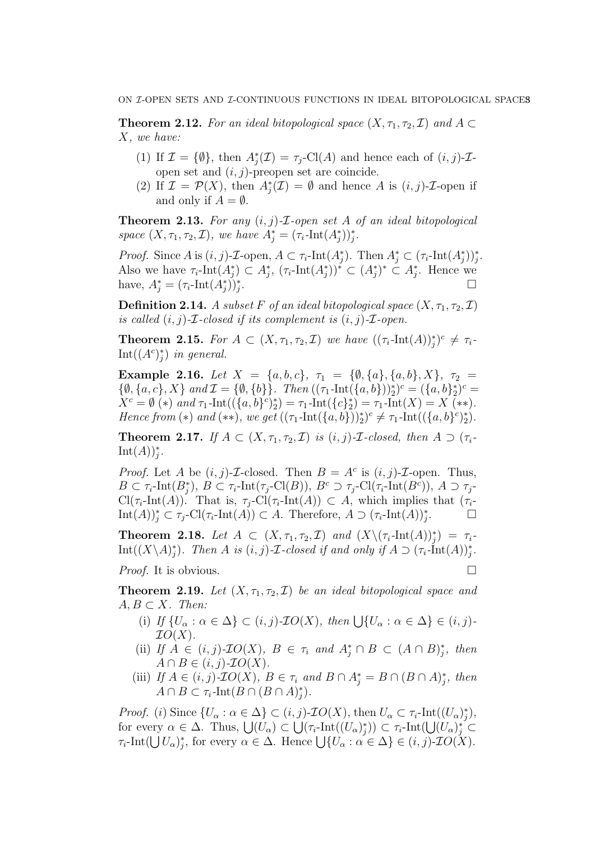**Theorem 2.12.** For an ideal bitopological space  $(X, \tau_1, \tau_2, \mathcal{I})$  and  $A \subset$ X, we have:

- (1) If  $\mathcal{I} = \{\emptyset\}$ , then  $A_j^*(\mathcal{I}) = \tau_j$ -Cl(A) and hence each of  $(i, j)$ - $\mathcal{I}$ open set and  $(i, j)$ -preopen set are coincide.
- (2) If  $\mathcal{I} = \mathcal{P}(X)$ , then  $A_j^*(\mathcal{I}) = \emptyset$  and hence A is  $(i, j)$ - $\mathcal{I}$ -open if and only if  $A = \emptyset$ .

**Theorem 2.13.** For any  $(i, j)$ -*I*-open set A of an ideal bitopological space  $(X, \tau_1, \tau_2, \mathcal{I})$ , we have  $A_j^* = (\tau_i\text{-Int}(A_j^*))_j^*$ .

*Proof.* Since  $A$  is  $(i, j)$ -*T*-open,  $A \subset \tau_i$ -Int $(A_j^*)$ . Then  $A_j^* \subset (\tau_i$ -Int $(A_j^*)$ <sub>j</sub>. Also we have  $\tau_i$ -Int $(A_j^*) \subset A_j^*$ ,  $(\tau_i$ -Int $(A_j^*)^* \subset (A_j^*)^* \subset A_j^*$ . Hence we have,  $A_j^* = (\tau_i\text{-Int}(A_j^*))_j^*$ .

**Definition 2.14.** A subset F of an ideal bitopological space  $(X, \tau_1, \tau_2, \mathcal{I})$ is called  $(i, j)$ -*T*-closed if its complement is  $(i, j)$ -*T*-open.

**Theorem 2.15.** For  $A \subset (X, \tau_1, \tau_2, \mathcal{I})$  we have  $((\tau_i\text{-Int}(A))^*_j)^c \neq \tau_i$  $Int((A<sup>c</sup>)<sub>j</sub><sup>*</sup>)$  in general.

Example 2.16. Let  $X = \{a, b, c\}, \tau_1 = \{\emptyset, \{a\}, \{a, b\}, X\}, \tau_2 =$  $\{\emptyset, \{a, c\}, X\}$  and  $\mathcal{I} = \{\emptyset, \{b\}\}\$ . Then  $((\tau_1\text{-Int}(\{a, b\}))_2^*)^c = (\{a, b\}_2^*)^c =$  $X^c = \emptyset$  (\*) and  $\tau_1$ -Int $((\{a, b\}^c)_2^*) = \tau_1$ -Int $(\{c\}_2^*) = \tau_1$ -Int $(X) = X$  (\*\*). Hence from (\*) and (\*\*), we get  $((\tau_1\text{-Int}(\{a,b\}))_2^*)^c \neq \tau_1\text{-Int}((\{a,b\}^c)_2^*)$ .

**Theorem 2.17.** If  $A \subset (X, \tau_1, \tau_2, \mathcal{I})$  is  $(i, j)$ -*T*-closed, then  $A \supset (\tau_i$ - $\mathrm{Int}(A))_{j}^{*}.$ 

*Proof.* Let A be  $(i, j)$ -*T*-closed. Then  $B = A^c$  is  $(i, j)$ -*T*-open. Thus,  $B \subset \tau_i$ -Int $(B_j^*), B \subset \tau_i$ -Int $(\tau_j\text{-}Cl(B)), B^c \supset \tau_j\text{-}Cl(\tau_i\text{-}Int(B^c)), A \supset \tau_j\text{-}$  $\text{Cl}(\tau_i\text{-Int}(A)).$  That is,  $\tau_j\text{-Cl}(\tau_i\text{-Int}(A)) \subset A$ , which implies that  $(\tau_i\text{-Int}(A))$ .  $\text{Int}(A))_j^* \subset \tau_j\text{-}\text{Cl}(\tau_i\text{-}\text{Int}(A)) \subset A.$  Therefore,  $A \supset (\tau_i\text{-}\text{Int}(A))_j^*$  $\Box$ 

**Theorem 2.18.** Let  $A \subset (X, \tau_1, \tau_2, \mathcal{I})$  and  $(X \setminus (\tau_i\text{-Int}(A))^*_j) = \tau_i$  $\mathrm{Int}((X\backslash A)^*_j)$ . Then A is  $(i, j)$ -*I*-closed if and only if  $A \supset (\tau_i$ - $\mathrm{Int}(A))^*_j$ .

*Proof.* It is obvious.

**Theorem 2.19.** Let  $(X, \tau_1, \tau_2, \mathcal{I})$  be an ideal bitopological space and  $A, B \subset X$ . Then:

- (i) If  $\{U_{\alpha} : \alpha \in \Delta\} \subset (i, j) \text{-} \mathcal{I}O(X)$ , then  $\bigcup \{U_{\alpha} : \alpha \in \Delta\} \in (i, j) \text{-} \mathcal{I}O(X)$  $IO(X).$
- (ii) If  $A \in (i, j)$ - $IO(X)$ ,  $B \in \tau_i$  and  $A_j^* \cap B \subset (A \cap B)_j^*$ , then  $A \cap B \in (i, j)$ - $\mathcal{I}O(X)$ .
- (iii) If  $A \in (i, j)$ - $IO(X)$ ,  $B \in \tau_i$  and  $B \cap A_j^* = B \cap (B \cap A)_j^*$ , then  $A \cap B \subset \tau_i$ -Int $(B \cap (B \cap A)_j^*$ ).

*Proof.* (*i*) Since  $\{U_{\alpha} : \alpha \in \Delta\} \subset (i, j)$ -*IO*(*X*), then  $U_{\alpha} \subset \tau_i$ -Int $((U_{\alpha})_j^*)$ , for every  $\alpha \in \Delta$ . Thus,  $\bigcup (U_\alpha) \subset \bigcup (\tau_i\text{-Int}((U_\alpha)^*_j)) \subset \tau_i\text{-Int}(\bigcup (U_\alpha)^*_j) \subset$  $\tau_i\text{-Int}(\bigcup U_\alpha)_j^*$ , for every  $\alpha \in \Delta$ . Hence  $\bigcup \{U_\alpha : \alpha \in \Delta\} \in (i,j)\text{-}TO(X)$ .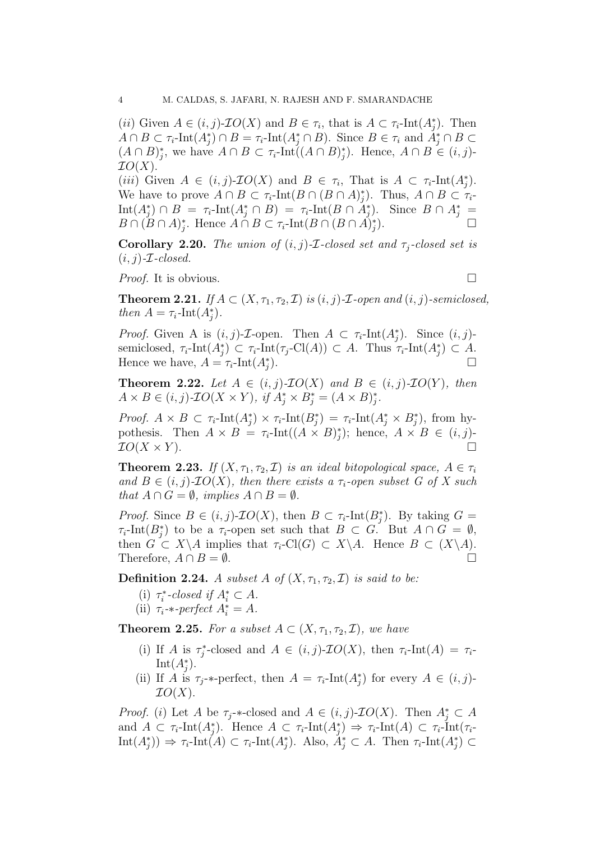(*ii*) Given  $A \in (i, j)$ -*IO*(*X*) and  $B \in \tau_i$ , that is  $A \subset \tau_i$ -Int $(A_j^*)$ . Then  $A \cap B \subset \tau_i$ -Int $(A_j^*) \cap B = \tau_i$ -Int $(A_j^* \cap B)$ . Since  $B \in \tau_i$  and  $A_j^* \cap B \subset$  $(A \cap B)_j^*$ , we have  $A \cap B \subset \tau_i$ -Int $((A \cap B)_j^*)$ . Hence,  $A \cap B \in (i, j)$ - $IO(X).$ 

(iii) Given  $A \in (i, j)$ - $\mathcal{I}O(X)$  and  $B \in \tau_i$ , That is  $A \subset \tau_i$ -Int $(A_j^*)$ . We have to prove  $A \cap B \subset \tau_i$ -Int $(B \cap (B \cap A)_j^*)$ . Thus,  $A \cap B \subset \tau_i$ - $\text{Int}(A_j^*) \cap B = \tau_i\text{-Int}(A_j^* \cap B) = \tau_i\text{-Int}(B \cap \tilde{A}_j^*)$ . Since  $B \cap A_j^* =$  $B \cap (B \cap A)_j^*$ . Hence  $A \cap B \subset \tau_i$ -Int $(B \cap (B \cap A)_j^*$  $\Box$ 

**Corollary 2.20.** The union of  $(i, j)$ -*I*-closed set and  $\tau_i$ -closed set is  $(i, j)$ -*T*-closed.

*Proof.* It is obvious.

**Theorem 2.21.** If  $A \subset (X, \tau_1, \tau_2, \mathcal{I})$  is  $(i, j)$ -*I*-open and  $(i, j)$ -semiclosed, then  $A = \tau_i$ -Int $(A_j^*)$ .

*Proof.* Given A is  $(i, j)$ -*T*-open. Then  $A \subset \tau_i$ -Int $(A_j^*)$ . Since  $(i, j)$ semiclosed,  $\tau_i$ -Int $(A_j^*) \subset \tau_i$ -Int $(\tau_j$ -Cl $(A)) \subset A$ . Thus  $\tau_i$ -Int $(A_j^*) \subset A$ . Hence we have,  $A = \tau_i$ -Int $(A_j^*)$ ).  $\Box$ 

**Theorem 2.22.** Let  $A \in (i, j)$ - $IO(X)$  and  $B \in (i, j)$ - $IO(Y)$ , then  $A \times B \in (i, j)$ - $IO(X \times Y)$ , if  $A_j^* \times B_j^* = (A \times B)_j^*$ .

Proof.  $A \times B \subset \tau_i$ -Int $(A_j^*) \times \tau_i$ -Int $(B_j^*) = \tau_i$ -Int $(A_j^* \times B_j^*)$ , from hypothesis. Then  $A \times B = \tau_i$ -Int $((A \times B)^*_j)$ ; hence,  $A \times B \in (i, j)$ - $\mathcal{I}O(X \times Y)$ .

**Theorem 2.23.** If  $(X, \tau_1, \tau_2, \mathcal{I})$  is an ideal bitopological space,  $A \in \tau_i$ and  $B \in (i, j)$ - $IO(X)$ , then there exists a  $\tau_i$ -open subset G of X such that  $A \cap G = \emptyset$ , implies  $A \cap B = \emptyset$ .

*Proof.* Since  $B \in (i, j)$ - $IO(X)$ , then  $B \subset \tau_i$ -Int $(B_j^*)$ . By taking  $G =$  $\tau_i$ -Int $(B_j^*)$  to be a  $\tau_i$ -open set such that  $B \subset G$ . But  $A \cap G = \emptyset$ , then  $G \subset X \backslash A$  implies that  $\tau_i$ -Cl(G)  $\subset X \backslash A$ . Hence  $B \subset (X \backslash A)$ . Therefore,  $A \cap B = \emptyset$ .

**Definition 2.24.** A subset A of  $(X, \tau_1, \tau_2, \mathcal{I})$  is said to be:

- (i)  $\tau_i^*$ -closed if  $A_i^* \subset A$ .
- (ii)  $\tau_i$ -\*-perfect  $A_i^* = A$ .

**Theorem 2.25.** For a subset  $A \subset (X, \tau_1, \tau_2, \mathcal{I})$ , we have

- (i) If A is  $\tau_j^*$ -closed and  $A \in (i, j)$ - $IO(X)$ , then  $\tau_i$ -Int $(A) = \tau_i$ -Int $(A_j^*).$
- (ii) If A is  $\tau_j$ -\*-perfect, then  $A = \tau_i$ -Int $(A_j^*)$  for every  $A \in (i, j)$ - $IO(X).$

*Proof.* (i) Let A be  $\tau_j$ -\*-closed and  $A \in (i, j)$ - $IO(X)$ . Then  $A_j^* \subset A$ and  $A \subset \tau_i$ -Int $(A_j^*)$ . Hence  $A \subset \tau_i$ -Int $(A_j^*) \Rightarrow \tau_i$ -Int $(A) \subset \tau_i$ -Int $(\tau_i$ - $\text{Int}(A_j^*)) \Rightarrow \tau_i\text{-Int}(A) \subset \tau_i\text{-Int}(A_j^*)$ . Also,  $A_j^* \subset A$ . Then  $\tau_i\text{-Int}(A_j^*) \subset A$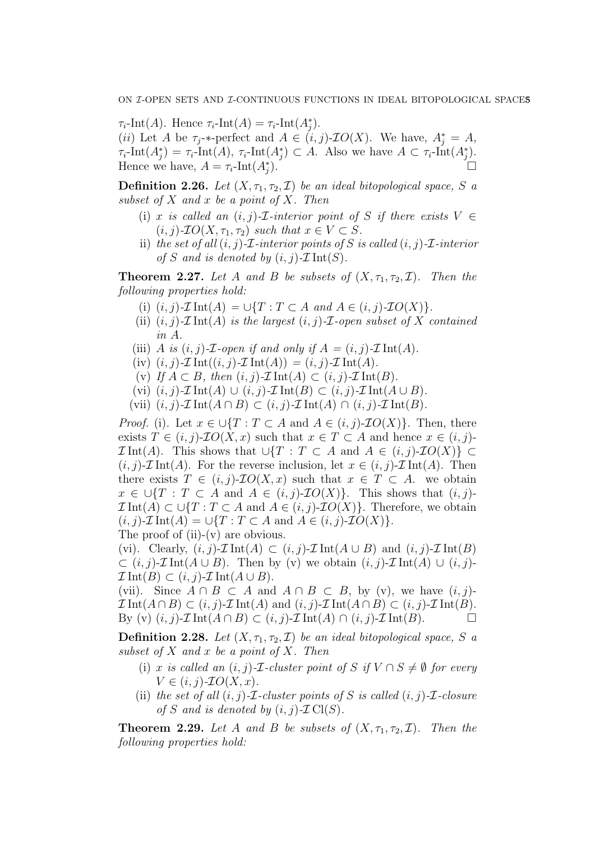$\tau_i$ -Int(A). Hence  $\tau_i$ -Int(A) =  $\tau_i$ -Int(A<sup>\*</sup><sub>j</sub>). (*ii*) Let A be  $\tau_j$ -\*-perfect and  $A \in (i, j)$ - $IO(X)$ . We have,  $A_j^* = A$ ,  $\tau_i\text{-Int}(A_j^*) = \tau_i\text{-Int}(A), \ \tau_i\text{-Int}(A_j^*) \subset A.$  Also we have  $A \subset \tau_i\text{-Int}(A_j^*)$ . Hence we have,  $A = \tau_i\text{-Int}(A_j^*)$ ).  $\Box$ 

**Definition 2.26.** Let  $(X, \tau_1, \tau_2, \mathcal{I})$  be an ideal bitopological space, S a subset of  $X$  and  $x$  be a point of  $X$ . Then

- (i) x is called an  $(i, j)$ -*I*-interior point of S if there exists  $V \in$  $(i, j)$ - $IO(X, \tau_1, \tau_2)$  such that  $x \in V \subset S$ .
- ii) the set of all  $(i, j)$ -*I*-interior points of S is called  $(i, j)$ -*I*-interior of S and is denoted by  $(i, j)$ - $\mathcal{I}$ Int $(S)$ .

**Theorem 2.27.** Let A and B be subsets of  $(X, \tau_1, \tau_2, \mathcal{I})$ . Then the following properties hold:

- (i)  $(i, j)$ - $\mathcal{I}$ Int $(A) = \bigcup \{T : T \subset A \text{ and } A \in (i, j)$ - $\mathcal{I}O(X)\}.$
- (ii)  $(i, j)$ - $\mathcal{I}$ Int $(A)$  is the largest  $(i, j)$ - $\mathcal{I}$ -open subset of X contained in A.
- (iii) A is  $(i, j)$ -*T*-open if and only if  $A = (i, j)$ -*T* Int(A).
- (iv)  $(i, j)$ - $\mathcal{I}$  Int $((i, j)$ - $\mathcal{I}$  Int $(A)) = (i, j)$ - $\mathcal{I}$  Int $(A)$ .
- (v) If  $A \subset B$ , then  $(i, j)$ - $\mathcal{I}$ Int $(A) \subset (i, j)$ - $\mathcal{I}$ Int $(B)$ .
- (vi)  $(i, j)$ - $\mathcal{I}$ Int $(A) \cup (i, j)$ - $\mathcal{I}$ Int $(B) \subset (i, j)$ - $\mathcal{I}$ Int $(A \cup B)$ .
- (vii)  $(i, j)$ - $\mathcal{I}$ Int $(A \cap B) \subset (i, j)$ - $\mathcal{I}$ Int $(A) \cap (i, j)$ - $\mathcal{I}$ Int $(B)$ .

*Proof.* (i). Let  $x \in \bigcup \{T : T \subset A \text{ and } A \in (i, j)\text{-}IO(X)\}\$ . Then, there exists  $T \in (i, j)$ - $IO(X, x)$  such that  $x \in T \subset A$  and hence  $x \in (i, j)$ - $\mathcal{I}$ Int(A). This shows that  $\bigcup \{T : T \subset A \text{ and } A \in (i,j)\text{-}IO(X)\}\subset$  $(i, j)$ - $\mathcal{I}$ Int $(A)$ . For the reverse inclusion, let  $x \in (i, j)$ - $\mathcal{I}$ Int $(A)$ . Then there exists  $T \in (i, j)$ - $\mathcal{I}O(X, x)$  such that  $x \in T \subset A$ . we obtain  $x \in \bigcup \{T : T \subset A \text{ and } A \in (i,j)\text{-}IO(X)\}.$  This shows that  $(i,j)\text{-}$  $\mathcal{I}$ Int $(A) \subset \bigcup \{T : T \subset A \text{ and } A \in (i, j)\text{-}\mathcal{I}O(X)\}\.$  Therefore, we obtain  $(i, j)$ - $\mathcal{I}$  Int $(A) = \bigcup \{T : T \subset A \text{ and } A \in (i, j)$ - $\mathcal{I}O(X)\}.$ The proof of  $(ii)-(v)$  are obvious.

(vi). Clearly,  $(i, j)$ - $\mathcal{I}$ Int $(A) \subset (i, j)$ - $\mathcal{I}$ Int $(A \cup B)$  and  $(i, j)$ - $\mathcal{I}$ Int $(B)$  $\subset (i, j)$ - $\mathcal{I}$ Int $(A \cup B)$ . Then by (v) we obtain  $(i, j)$ - $\mathcal{I}$ Int $(A) \cup (i, j)$ - $\mathcal{I}$ Int $(B) \subset (i, j)$ - $\mathcal{I}$ Int $(A \cup B)$ .

(vii). Since  $A \cap B \subset A$  and  $A \cap B \subset B$ , by (v), we have  $(i, j)$ - $\mathcal{I}$ Int $(A \cap B) \subset (i, j)$ - $\mathcal{I}$ Int $(A)$  and  $(i, j)$ - $\mathcal{I}$ Int $(A \cap B) \subset (i, j)$ - $\mathcal{I}$ Int $(B)$ . By (v)  $(i, j)$ - $\mathcal{I}$ Int $(A \cap B) \subset (i, j)$ - $\mathcal{I}$ Int $(A) \cap (i, j)$ - $\mathcal{I}$ Int $(B)$ .

**Definition 2.28.** Let  $(X, \tau_1, \tau_2, \mathcal{I})$  be an ideal bitopological space, S a subset of  $X$  and  $x$  be a point of  $X$ . Then

- (i) x is called an  $(i, j)$ -*I*-cluster point of S if  $V \cap S \neq \emptyset$  for every  $V \in (i, j)$ - $\mathcal{I}O(X, x)$ .
- (ii) the set of all  $(i, j)$ - $\mathcal{I}$ -cluster points of S is called  $(i, j)$ - $\mathcal{I}$ -closure of S and is denoted by  $(i, j)$ - $\mathcal{I}$ Cl(S).

**Theorem 2.29.** Let A and B be subsets of  $(X, \tau_1, \tau_2, \mathcal{I})$ . Then the following properties hold: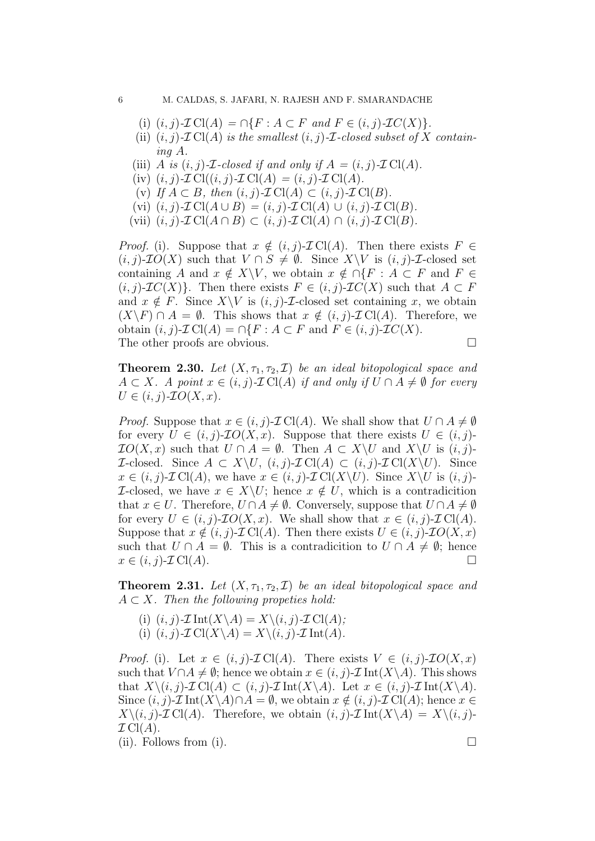- (i)  $(i, j)$ - $\mathcal{I}$ Cl $(A) = \bigcap \{F : A \subset F \text{ and } F \in (i, j)$ - $\mathcal{I}C(X)\}.$
- (ii)  $(i, j)$ - $\mathcal{I}$ Cl(A) is the smallest  $(i, j)$ - $\mathcal{I}$ -closed subset of X containing A.
- (iii) A is  $(i, j)$ -*T*-closed if and only if  $A = (i, j)$ -*T*Cl(A).
- (iv)  $(i, j)$ - $\mathcal{I}$  Cl $((i, j)$ - $\mathcal{I}$  Cl $(A) = (i, j)$ - $\mathcal{I}$  Cl $(A)$ .
- (v) If  $A \subset B$ , then  $(i, j)$ - $\mathcal{I}$  Cl(A)  $\subset (i, j)$ - $\mathcal{I}$  Cl(B).
- (vi)  $(i, j)$ - $\mathcal{I}$  Cl( $A \cup B$ ) =  $(i, j)$ - $\mathcal{I}$  Cl( $A$ )  $\cup$   $(i, j)$ - $\mathcal{I}$  Cl( $B$ ).
- (vii)  $(i, j)$ - $\mathcal{I}$  Cl( $A \cap B$ )  $\subset (i, j)$ - $\mathcal{I}$  Cl( $A$ )  $\cap (i, j)$ - $\mathcal{I}$  Cl( $B$ ).

*Proof.* (i). Suppose that  $x \notin (i, j)$ - $\mathcal{I}$  Cl(A). Then there exists  $F \in$  $(i, j)$ - $\mathcal{I}O(X)$  such that  $V \cap S \neq \emptyset$ . Since  $X \backslash V$  is  $(i, j)$ - $\mathcal{I}$ -closed set containing A and  $x \notin X\backslash V$ , we obtain  $x \notin \bigcap \{F : A \subset F \text{ and } F \in$  $(i, j)$ - $\mathcal{I}C(X)$ . Then there exists  $F \in (i, j)$ - $\mathcal{I}C(X)$  such that  $A \subset F$ and  $x \notin F$ . Since  $X\setminus V$  is  $(i, j)$ -*T*-closed set containing x, we obtain  $(X\backslash F) \cap A = \emptyset$ . This shows that  $x \notin (i, j)$ - $\mathcal{I}$  Cl(A). Therefore, we obtain  $(i, j)$ - $\mathcal{I}$  Cl(A) =  $\cap$ { $F : A \subset F$  and  $F \in (i, j)$ - $\mathcal{I}$ C(X). The other proofs are obvious.

**Theorem 2.30.** Let  $(X, \tau_1, \tau_2, \mathcal{I})$  be an ideal bitopological space and  $A \subset X$ . A point  $x \in (i, j)$ - $\mathcal{I}$ Cl(A) if and only if  $U \cap A \neq \emptyset$  for every  $U \in (i, j)$ - $\mathcal{I}O(X, x)$ .

*Proof.* Suppose that  $x \in (i, j)$ - $\mathcal{I}$  Cl(A). We shall show that  $U \cap A \neq \emptyset$ for every  $U \in (i, j)$ - $IO(X, x)$ . Suppose that there exists  $U \in (i, j)$ - $\mathcal{I}O(X,x)$  such that  $U \cap A = \emptyset$ . Then  $A \subset X \backslash U$  and  $X \backslash U$  is  $(i, j)$ - $\mathcal{I}\text{-closed.}$  Since  $A \subset X\setminus U$ ,  $(i, j)\text{-}\mathcal{I}\text{Cl}(A) \subset (i, j)\text{-}\mathcal{I}\text{Cl}(X\setminus U)$ . Since  $x \in (i, j)$ - $\mathcal{I}$ Cl(A), we have  $x \in (i, j)$ - $\mathcal{I}$ Cl(X\U). Since X\U is  $(i, j)$ -*I*-closed, we have  $x \in X\setminus U$ ; hence  $x \notin U$ , which is a contradicition that  $x \in U$ . Therefore,  $U \cap A \neq \emptyset$ . Conversely, suppose that  $U \cap A \neq \emptyset$ for every  $U \in (i, j)$ - $\mathcal{I}O(X, x)$ . We shall show that  $x \in (i, j)$ - $\mathcal{I}Cl(A)$ . Suppose that  $x \notin (i, j)$ - $\mathcal{I}$  Cl(A). Then there exists  $U \in (i, j)$ - $\mathcal{I}O(X, x)$ such that  $U \cap A = \emptyset$ . This is a contradicition to  $U \cap A \neq \emptyset$ ; hence  $x \in (i, j)$ - $\mathcal{I}$  Cl(A).

**Theorem 2.31.** Let  $(X, \tau_1, \tau_2, \mathcal{I})$  be an ideal bitopological space and  $A \subset X$ . Then the following propeties hold:

(i)  $(i, j)$ - $\mathcal{I}$  Int $(X \backslash A) = X \backslash (i, j)$ - $\mathcal{I}$  Cl $(A)$ ; (i)  $(i, j)$ - $\mathcal{I}$  Cl( $X \setminus A$ ) =  $X \setminus (i, j)$ - $\mathcal{I}$  Int( $A$ ).

*Proof.* (i). Let  $x \in (i, j)$ - $\mathcal{I}$ Cl(A). There exists  $V \in (i, j)$ - $\mathcal{I}O(X, x)$ such that  $V \cap A \neq \emptyset$ ; hence we obtain  $x \in (i, j)$ - $\mathcal{I}$  Int $(X \setminus A)$ . This shows that  $X\setminus (i, j)$ - $\mathcal{I}$  Cl(A)  $\subset (i, j)$ - $\mathcal{I}$  Int(X $\setminus$ A). Let  $x \in (i, j)$ - $\mathcal{I}$  Int(X $\setminus$ A). Since  $(i, j)$ - $\mathcal{I}$  Int $(X \setminus A) \cap A = \emptyset$ , we obtain  $x \notin (i, j)$ - $\mathcal{I}$  Cl(A); hence  $x \in$  $X\setminus (i, j)$ - $\mathcal{I}$  Cl(A). Therefore, we obtain  $(i, j)$ - $\mathcal{I}$ Int $(X\setminus A) = X\setminus (i, j)$ - $\mathcal{I}$  Cl(A).

(ii). Follows from (i).  $\Box$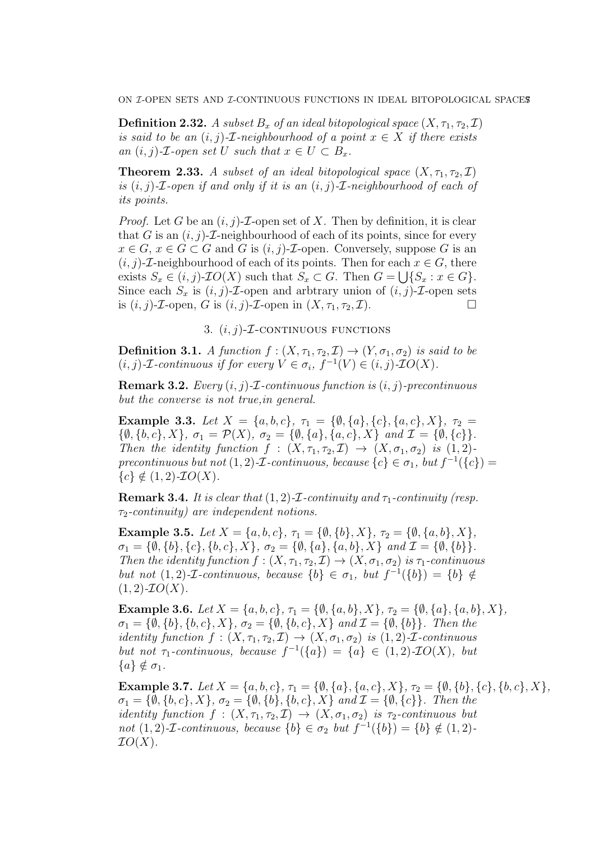**Definition 2.32.** A subset  $B_x$  of an ideal bitopological space  $(X, \tau_1, \tau_2, \mathcal{I})$ is said to be an  $(i, j)$ -*I*-neighbourhood of a point  $x \in X$  if there exists an  $(i, j)$ -*T*-open set U such that  $x \in U \subset B_x$ .

**Theorem 2.33.** A subset of an ideal bitopological space  $(X, \tau_1, \tau_2, \mathcal{I})$ is  $(i, j)$ -*T*-open if and only if it is an  $(i, j)$ -*T*-neighbourhood of each of its points.

*Proof.* Let G be an  $(i, j)$ -*T*-open set of X. Then by definition, it is clear that G is an  $(i, j)$ -*T*-neighbourhood of each of its points, since for every  $x \in G$ ,  $x \in G \subset G$  and G is  $(i, j)$ -*T*-open. Conversely, suppose G is an  $(i, j)$ -*T*-neighbourhood of each of its points. Then for each  $x \in G$ , there exists  $S_x \in (i, j)$ - $IO(X)$  such that  $S_x \subset G$ . Then  $G = \bigcup \{S_x : x \in G\}$ . Since each  $S_x$  is  $(i, j)$ -*T*-open and arbtrary union of  $(i, j)$ -*T*-open sets is  $(i, j)$ -*T*-open, *G* is  $(i, j)$ -*T*-open in  $(X, \tau_1, \tau_2, \mathcal{I})$ .

3.  $(i, j)$ - $I$ -continuous functions

**Definition 3.1.** A function  $f : (X, \tau_1, \tau_2, \mathcal{I}) \to (Y, \sigma_1, \sigma_2)$  is said to be  $(i, j)$ -*T*-continuous if for every  $V \in \sigma_i$ ,  $f^{-1}(V) \in (i, j)$ -*TO*(*X*).

**Remark 3.2.** Every  $(i, j)$ -*I*-continuous function is  $(i, j)$ -precontinuous but the converse is not true,in general.

Example 3.3. Let  $X = \{a, b, c\}, \tau_1 = \{\emptyset, \{a\}, \{c\}, \{a, c\}, X\}, \tau_2 =$  $\{\emptyset, \{b, c\}, X\}, \sigma_1 = \mathcal{P}(X), \sigma_2 = \{\emptyset, \{a\}, \{a, c\}, X\} \text{ and } \mathcal{I} = \{\emptyset, \{c\}\}.$ Then the identity function  $f : (X, \tau_1, \tau_2, \mathcal{I}) \to (X, \sigma_1, \sigma_2)$  is  $(1, 2)$ precontinuous but not  $(1, 2)$ - $\mathcal I$ -continuous, because  $\{c\} \in \sigma_1$ , but  $f^{-1}(\{c\})$  =  ${c} \notin (1, 2)$ - $IO(X)$ .

**Remark 3.4.** It is clear that  $(1, 2)$ -*I*-continuity and  $\tau_1$ -continuity (resp.  $\tau_2$ -continuity) are independent notions.

Example 3.5. Let  $X = \{a, b, c\}, \tau_1 = \{\emptyset, \{b\}, X\}, \tau_2 = \{\emptyset, \{a, b\}, X\},\$  $\sigma_1 = {\bar{\emptyset}, \{b\}, \{c\}, \{b, c\}, X}, \ \sigma_2 = {\emptyset, \{a\}, \{a, b\}, X} \ \text{and} \ {\mathcal{I}} = {\emptyset, \{b\}}.$ Then the identity function  $f : (X, \tau_1, \tau_2, \mathcal{I}) \to (X, \sigma_1, \sigma_2)$  is  $\tau_1$ -continuous but not  $(1, 2)$ -*T*-continuous, because  $\{b\} \in \sigma_1$ , but  $f^{-1}(\{b\}) = \{b\} \notin$  $(1, 2)$ - $IO(X)$ .

Example 3.6. Let  $X = \{a, b, c\}, \tau_1 = \{\emptyset, \{a, b\}, X\}, \tau_2 = \{\emptyset, \{a\}, \{a, b\}, X\},\$  $\sigma_1 = \{\emptyset, \{b\}, \{b, c\}, X\}, \sigma_2 = \{\emptyset, \{b, c\}, X\}$  and  $\mathcal{I} = \{\emptyset, \{b\}\}.$  Then the identity function  $f : (X, \tau_1, \tau_2, \mathcal{I}) \to (X, \sigma_1, \sigma_2)$  is  $(1, 2)$ -*L*-continuous but not  $\tau_1$ -continuous, because  $f^{-1}(\{a\}) = \{a\} \in (1,2)$ - $\mathcal{I}O(X)$ , but  ${a} \notin \sigma_1$ .

Example 3.7. Let  $X = \{a, b, c\}$ ,  $\tau_1 = \{\emptyset, \{a\}, \{a, c\}, X\}$ ,  $\tau_2 = \{\emptyset, \{b\}, \{c\}, \{b, c\}, X\}$ ,  $\sigma_1 = \{\emptyset, \{b, c\}, X\}, \sigma_2 = \{\emptyset, \{b\}, \{b, c\}, X\}$  and  $\mathcal{I} = \{\emptyset, \{c\}\}.$  Then the identity function  $f : (X, \tau_1, \tau_2, \mathcal{I}) \to (X, \sigma_1, \sigma_2)$  is  $\tau_2$ -continuous but not  $(1, 2)$ -*T*-continuous, because  $\{b\} \in \sigma_2$  but  $f^{-1}(\{b\}) = \{b\} \notin (1, 2)$ - $IO(X)$ .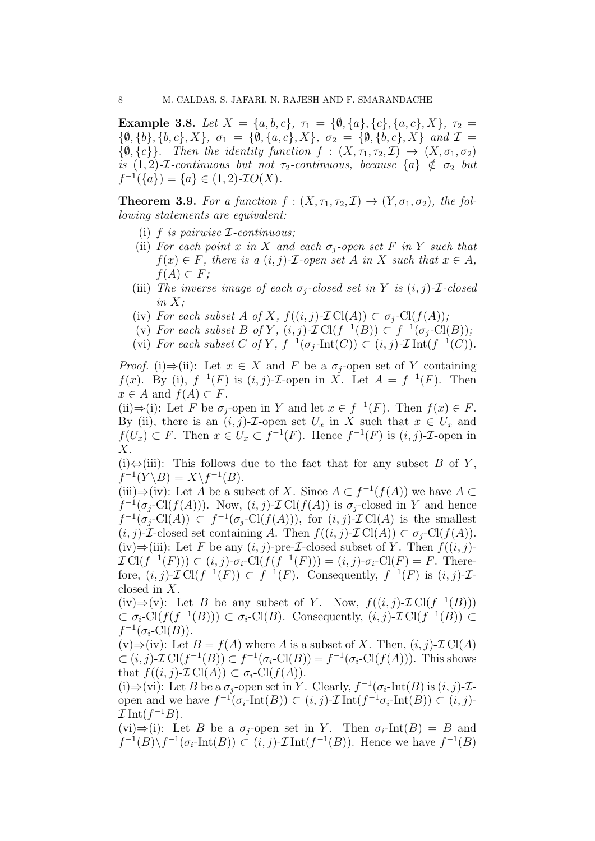Example 3.8. Let  $X = \{a, b, c\}, \tau_1 = \{\emptyset, \{a\}, \{c\}, \{a, c\}, X\}, \tau_2 =$  $\{\emptyset, \{b\}, \{b, c\}, X\}, \sigma_1 = \{\emptyset, \{a, c\}, X\}, \sigma_2 = \{\emptyset, \{b, c\}, X\}$  and  $\mathcal{I} =$  $\{\emptyset, \{c\}\}\$ . Then the identity function  $f : (X, \tau_1, \tau_2, \mathcal{I}) \to (X, \sigma_1, \sigma_2)$ is  $(1, 2)$ -*I*-continuous but not  $\tau_2$ -continuous, because  $\{a\} \notin \sigma_2$  but  $f^{-1}(\{a\}) = \{a\} \in (1,2)$ -*IO*(*X*).

**Theorem 3.9.** For a function  $f : (X, \tau_1, \tau_2, \mathcal{I}) \to (Y, \sigma_1, \sigma_2)$ , the following statements are equivalent:

- (i)  $f$  is pairwise  $\mathcal{I}$ -continuous;
- (ii) For each point x in X and each  $\sigma_i$ -open set F in Y such that  $f(x) \in F$ , there is a  $(i, j)$ -*T*-open set A in X such that  $x \in A$ ,  $f(A) \subset F$ ;
- (iii) The inverse image of each  $\sigma_i$ -closed set in Y is  $(i, j)$ -*T*-closed in  $X$ :
- (iv) For each subset A of X,  $f((i, j) \text{-} \mathcal{I} \text{Cl}(A)) \subset \sigma_i\text{-} \text{Cl}(f(A));$
- (v) For each subset B of Y,  $(i, j)$ - $\mathcal{I}Cl(f^{-1}(B)) \subset f^{-1}(\sigma_j\text{-}Cl(B));$
- (vi) For each subset C of Y,  $f^{-1}(\sigma_j\text{-Int}(C)) \subset (i, j)\text{-}\mathcal{I}\text{Int}(f^{-1}(C)).$

*Proof.* (i)⇒(ii): Let  $x \in X$  and F be a  $\sigma_i$ -open set of Y containing  $f(x)$ . By (i),  $f^{-1}(F)$  is  $(i, j)$ -*T*-open in X. Let  $A = f^{-1}(F)$ . Then  $x \in A$  and  $f(A) \subset F$ .

(ii)⇒(i): Let F be  $\sigma_j$ -open in Y and let  $x \in f^{-1}(F)$ . Then  $f(x) \in F$ . By (ii), there is an  $(i, j)$ -*T*-open set  $U_x$  in X such that  $x \in U_x$  and  $f(U_x) \subset F$ . Then  $x \in U_x \subset f^{-1}(F)$ . Hence  $f^{-1}(F)$  is  $(i, j)$ -*T*-open in X.

(i) $\Leftrightarrow$ (iii): This follows due to the fact that for any subset B of Y,  $f^{-1}(Y \backslash B) = X \backslash f^{-1}(B).$ 

(iii)⇒(iv): Let A be a subset of X. Since  $A \subset f^{-1}(f(A))$  we have  $A \subset$  $f^{-1}(\sigma_j\text{-Cl}(f(A)))$ . Now,  $(i, j)\text{-}\mathcal{I}\text{Cl}(f(A))$  is  $\sigma_j\text{-closed in }Y$  and hence  $f^{-1}(\sigma_j\text{-Cl}(A)) \subset f^{-1}(\sigma_j\text{-Cl}(f(A))),$  for  $(i, j)\text{-}\mathcal{I}\text{Cl}(A)$  is the smallest  $(i, j)$ -*T*-closed set containing A. Then  $f((i, j)$ -*T*Cl(A))  $\subset \sigma_j$ -Cl( $f(A)$ ). (iv)⇒(iii): Let F be any  $(i, j)$ -pre-*I*-closed subset of Y. Then  $f((i, j)$ - $\mathcal{I}\text{Cl}(f^{-1}(F))\subset (i,j)\text{-}\sigma_i\text{-}\text{Cl}(f(f^{-1}(F)))=(i,j)\text{-}\sigma_i\text{-}\text{Cl}(F)=F.$  Therefore,  $(i, j)$ - $\mathcal{I}$ Cl $(f^{-1}(F)) \subset f^{-1}(F)$ . Consequently,  $f^{-1}(F)$  is  $(i, j)$ - $\mathcal{I}$ closed in X.

(iv)⇒(v): Let B be any subset of Y. Now,  $f((i, j)$ - $\mathcal{I}$ Cl( $f^{-1}(B)$ ))  $\subset \sigma_i\text{-Cl}(f(f^{-1}(B))) \subset \sigma_i\text{-Cl}(B)$ . Consequently,  $(i, j)\text{-}\mathcal{I}\text{Cl}(f^{-1}(B)) \subset$  $f^{-1}(\sigma_i\text{-Cl}(B)).$ 

 $(v) \Rightarrow (iv)$ : Let  $B = f(A)$  where A is a subset of X. Then,  $(i, j)$ - $\mathcal{I}$ Cl $(A)$  $\subset (i, j)$ - $\mathcal{I}$  Cl $(f^{-1}(B)) \subset f^{-1}(\sigma_i$ -Cl $(B)) = f^{-1}(\sigma_i$ -Cl $(f(A)))$ . This shows that  $f((i, j) \text{-} \mathcal{I} \text{Cl}(A)) \subset \sigma_i\text{-} \text{Cl}(f(A)).$ 

(i)⇒(vi): Let B be a  $\sigma_j$ -open set in Y. Clearly,  $f^{-1}(\sigma_i$ -Int(B) is  $(i, j)$ -*T*open and we have  $f^{-1}(\sigma_i\text{-Int}(B)) \subset (i, j)\text{-}\mathcal{I}\text{Int}(f^{-1}\sigma_i\text{-Int}(B)) \subset (i, j)\text{-}$  $\mathcal{I}$ Int $(f^{-1}B)$ .

(vi)⇒(i): Let B be a  $\sigma_i$ -open set in Y. Then  $\sigma_i$ -Int(B) = B and  $f^{-1}(B)\setminus f^{-1}(\sigma_i\text{-Int}(B)) \subset (i,j)\text{-}\mathcal{I}\text{Int}(f^{-1}(B)).$  Hence we have  $f^{-1}(B)$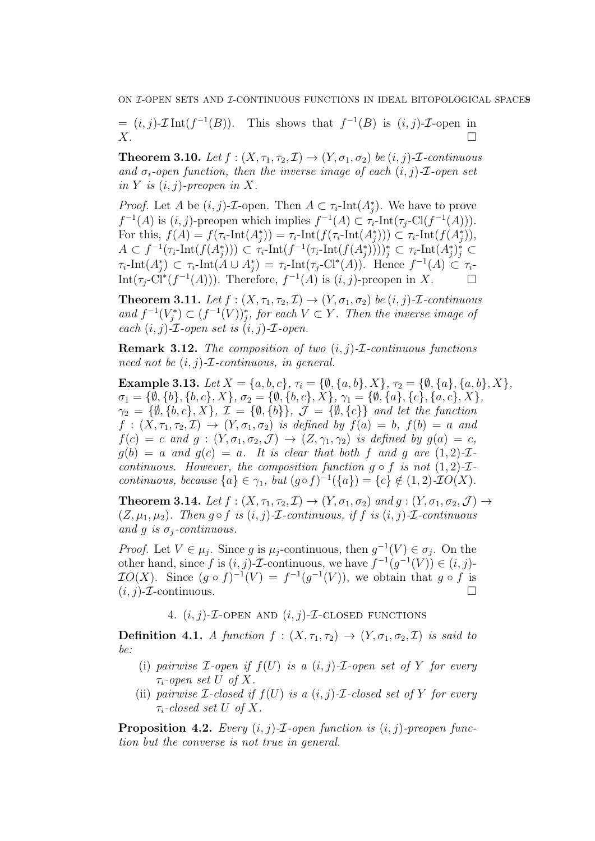$= (i, j)$ - $\mathcal{I}$ Int $(f^{-1}(B))$ . This shows that  $f^{-1}(B)$  is  $(i, j)$ - $\mathcal{I}$ -open in  $X.$ 

**Theorem 3.10.** Let  $f : (X, \tau_1, \tau_2, \mathcal{I}) \to (Y, \sigma_1, \sigma_2)$  be  $(i, j)$ -*I*-continuous and  $\sigma_i$ -open function, then the inverse image of each  $(i, j)$ - $\mathcal{I}$ -open set in Y is  $(i, j)$ -preopen in X.

*Proof.* Let A be  $(i, j)$ -*T*-open. Then  $A \subset \tau_i$ -Int $(A_j^*)$ . We have to prove  $f^{-1}(A)$  is  $(i, j)$ -preopen which implies  $f^{-1}(A) \subset \tau_i$ -Int $(\tau_j$ -Cl $(f^{-1}(A))$ ). For this,  $f(A) = f(\tau_i\text{-Int}(A_j^*)) = \tau_i\text{-Int}(f(\tau_i\text{-Int}(A_j^*))) \subset \tau_i\text{-Int}(f(A_j^*)),$  $A \subset f^{-1}(\tau_i\text{-Int}(f(A_j^*))) \subset \tau_i\text{-Int}(f^{-1}(\tau_i\text{-Int}(f(A_j^*))))_j^* \subset \tau_i\text{-Int}(A_j^*)_j^* \subset$  $\tau_i\text{-Int}(A_j^*)\subset \tau_i\text{-Int}(A\cup A_j^*)=\tau_i\text{-Int}(\tau_j\text{-Cl}^*(A)).$  Hence  $f^{-1}(A)\subset \tau_i$ Int $(\tau_j$ -Cl<sup>\*</sup> $(f^{-1}(A))$ ). Therefore,  $f^{-1}(A)$  is  $(i, j)$ -preopen in X.

**Theorem 3.11.** Let  $f : (X, \tau_1, \tau_2, \mathcal{I}) \to (Y, \sigma_1, \sigma_2)$  be  $(i, j)$ -*I*-continuous and  $f^{-1}(V_j^*) \subset (f^{-1}(V))_j^*$ , for each  $V \subset Y$ . Then the inverse image of each  $(i, j)$ - $\mathcal{I}$ -open set is  $(i, j)$ - $\mathcal{I}$ -open.

**Remark 3.12.** The composition of two  $(i, j)$ - $\mathcal{I}$ -continuous functions need not be  $(i, j)$ -*T*-continuous, in general.

Example 3.13. Let  $X = \{a, b, c\}$ ,  $\tau_i = \{\emptyset, \{a, b\}, X\}$ ,  $\tau_2 = \{\emptyset, \{a\}, \{a, b\}, X\}$ ,  $\sigma_1 = \{\emptyset, \{b\}, \{b, c\}, X\}, \sigma_2 = \{\emptyset, \{b, c\}, X\}, \gamma_1 = \{\emptyset, \{a\}, \{c\}, \{a, c\}, X\},$  $\gamma_2 = \{\emptyset, \{b, c\}, X\}, \mathcal{I} = \{\emptyset, \{b\}\}, \mathcal{J} = \{\emptyset, \{c\}\}$  and let the function  $f:(X,\tau_1,\tau_2,\mathcal{I})\rightarrow (Y,\sigma_1,\sigma_2)$  is defined by  $f(a)=b$ ,  $f(b)=a$  and  $f(c) = c$  and  $g : (Y, \sigma_1, \sigma_2, \mathcal{J}) \to (Z, \gamma_1, \gamma_2)$  is defined by  $g(a) = c$ ,  $g(b) = a$  and  $g(c) = a$ . It is clear that both f and g are  $(1, 2)$ -*T*continuous. However, the composition function  $q \circ f$  is not  $(1, 2)$ - $\mathcal{I}$ continuous, because  $\{a\} \in \gamma_1$ , but  $(g \circ f)^{-1}(\{a\}) = \{c\} \notin (1, 2)$ -*IO(X)*.

**Theorem 3.14.** Let  $f : (X, \tau_1, \tau_2, \mathcal{I}) \to (Y, \sigma_1, \sigma_2)$  and  $g : (Y, \sigma_1, \sigma_2, \mathcal{J}) \to$  $(Z, \mu_1, \mu_2)$ . Then  $g \circ f$  is  $(i, j)$ -*T*-continuous, if f is  $(i, j)$ -*T*-continuous and g is  $\sigma_i$ -continuous.

*Proof.* Let  $V \in \mu_j$ . Since g is  $\mu_j$ -continuous, then  $g^{-1}(V) \in \sigma_j$ . On the other hand, since f is  $(i, j)$ -*T*-continuous, we have  $f^{-1}(g^{-1}(V)) \in (i, j)$ - $IO(X)$ . Since  $(g \circ f)^{-1}(V) = f^{-1}(g^{-1}(V))$ , we obtain that  $g \circ f$  is  $(i, j)$ - $\mathcal{I}$ -continuous.

4.  $(i, j)$ -*T*-OPEN AND  $(i, j)$ -*T*-CLOSED FUNCTIONS

**Definition 4.1.** A function  $f : (X, \tau_1, \tau_2) \rightarrow (Y, \sigma_1, \sigma_2, \mathcal{I})$  is said to be:

- (i) pairwise  $\mathcal{I}\text{-open}$  if  $f(U)$  is a  $(i, j)\text{-}\mathcal{I}\text{-open}$  set of Y for every  $\tau_i$ -open set U of X.
- (ii) pairwise *I*-closed if  $f(U)$  is a  $(i, j)$ -*I*-closed set of Y for every  $\tau_i$ -closed set U of X.

**Proposition 4.2.** Every  $(i, j)$ -*I*-open function is  $(i, j)$ -preopen function but the converse is not true in general.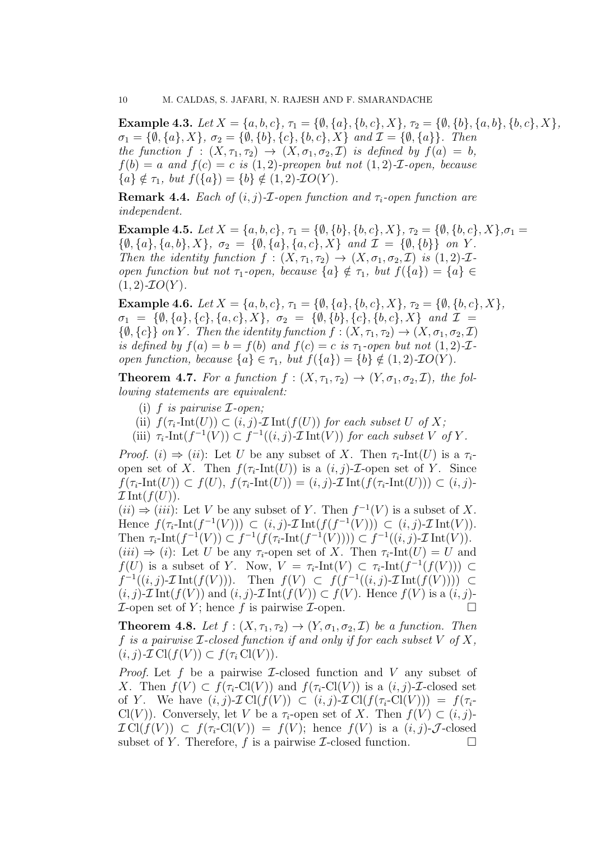Example 4.3. Let  $X = \{a, b, c\}, \tau_1 = \{\emptyset, \{a\}, \{b, c\}, X\}, \tau_2 = \{\emptyset, \{b\}, \{a, b\}, \{b, c\}, X\},\$  $\sigma_1 = \{\emptyset, \{a\}, X\}, \sigma_2 = \{\emptyset, \{b\}, \{c\}, \{b, c\}, X\}$  and  $\mathcal{I} = \{\emptyset, \{a\}\}.$  Then the function  $f : (X, \tau_1, \tau_2) \to (X, \sigma_1, \sigma_2, \mathcal{I})$  is defined by  $f(a) = b$ ,  $f(b) = a$  and  $f(c) = c$  is (1,2)-preopen but not (1,2)-*I*-open, because  ${a} \notin \tau_1$ , but  $f({a}) = {b} \notin (1, 2)$ -*IO(Y)*.

**Remark 4.4.** Each of  $(i, j)$ -*I*-open function and  $\tau_i$ -open function are independent.

Example 4.5. Let  $X = \{a, b, c\}$ ,  $\tau_1 = \{\emptyset, \{b\}, \{b, c\}, X\}$ ,  $\tau_2 = \{\emptyset, \{b, c\}, X\}$ ,  $\sigma_1 =$  $\{\emptyset, \{a\}, \{a, b\}, X\}, \sigma_2 = \{\emptyset, \{a\}, \{a, c\}, X\} \text{ and } \mathcal{I} = \{\emptyset, \{b\}\} \text{ on } Y.$ Then the identity function  $f : (X, \tau_1, \tau_2) \to (X, \sigma_1, \sigma_2, \mathcal{I})$  is  $(1, 2)\text{-}\mathcal{I}$ open function but not  $\tau_1$ -open, because  $\{a\} \notin \tau_1$ , but  $f(\{a\}) = \{a\} \in$  $(1, 2)$ - $IO(Y)$ .

Example 4.6. Let  $X = \{a, b, c\}, \tau_1 = \{\emptyset, \{a\}, \{b, c\}, X\}, \tau_2 = \{\emptyset, \{b, c\}, X\},\$  $\sigma_1 = \{\emptyset, \{a\}, \{c\}, \{a, c\}, X\}, \sigma_2 = \{\emptyset, \{b\}, \{c\}, \{b, c\}, X\}$  and  $\mathcal{I} =$  $\{\emptyset, \{c\}\}\$ on Y. Then the identity function  $f: (X, \tau_1, \tau_2) \to (X, \sigma_1, \sigma_2, \mathcal{I})$ is defined by  $f(a) = b = f(b)$  and  $f(c) = c$  is  $\tau_1$ -open but not  $(1, 2)$ - $\mathcal{I}$ open function, because  $\{a\} \in \tau_1$ , but  $f(\{a\}) = \{b\} \notin (1, 2)\text{-}IO(Y)$ .

**Theorem 4.7.** For a function  $f : (X, \tau_1, \tau_2) \to (Y, \sigma_1, \sigma_2, \mathcal{I})$ , the following statements are equivalent:

- (i) f is pairwise  $\mathcal{I}\text{-open}$ ;
- (ii)  $f(\tau_i\text{-Int}(U)) \subset (i, j)\text{-}\mathcal{I}\text{Int}(f(U))$  for each subset U of X;
- (iii)  $\tau_i$ -Int $(f^{-1}(V)) \subset f^{-1}((i,j)$ - $\mathcal I$ Int $(V)$ ) for each subset V of Y.

*Proof.* (i)  $\Rightarrow$  (ii): Let U be any subset of X. Then  $\tau_i$ -Int(U) is a  $\tau_i$ open set of X. Then  $f(\tau_i\text{-Int}(U))$  is a  $(i, j)\text{-}\mathcal{I}\text{-open}$  set of Y. Since  $f(\tau_i\text{-Int}(U)) \subset f(U), f(\tau_i\text{-Int}(U)) = (i, j)\text{-}\mathcal{I}\operatorname{Int}(f(\tau_i\text{-Int}(U))) \subset (i, j)\text{-}$  $\mathcal{I}$ Int $(f(U))$ .

 $(ii) \Rightarrow (iii)$ : Let V be any subset of Y. Then  $f^{-1}(V)$  is a subset of X. Hence  $f(\tau_i\text{-Int}(f^{-1}(V))) \subset (i, j)\text{-}\mathcal{I}\text{Int}(f(f^{-1}(V))) \subset (i, j)\text{-}\mathcal{I}\text{Int}(V)$ . Then  $\tau_i$ -Int $(f^{-1}(V)) \subset f^{-1}(f(\tau_i\text{-Int}(f^{-1}(V)))) \subset f^{-1}((i,j)\text{-}\mathcal{I}\text{Int}(V)).$  $(iii) \Rightarrow (i)$ : Let U be any  $\tau_i$ -open set of X. Then  $\tau_i$ -Int $(U) = U$  and  $f(U)$  is a subset of Y. Now,  $V = \tau_i\text{-Int}(V) \subset \tau_i\text{-Int}(f^{-1}(f(V))) \subset$  $f^{-1}((i, j) \text{-} \mathcal{I} \text{Int}(f(V)))$ . Then  $f(V) \subset f(f^{-1}((i, j) \text{-} \mathcal{I} \text{Int}(f(V)))) \subset$  $(i, j)$ - $\mathcal{I}$  Int $(f(V))$  and  $(i, j)$ - $\mathcal{I}$  Int $(f(V)) \subset f(V)$ . Hence  $f(V)$  is a  $(i, j)$ - $\mathcal I$ -open set of Y; hence f is pairwise  $\mathcal I$ -open.

**Theorem 4.8.** Let  $f : (X, \tau_1, \tau_2) \to (Y, \sigma_1, \sigma_2, \mathcal{I})$  be a function. Then f is a pairwise  $\mathcal{I}\text{-closed function if and only if for each subset }V$  of X,  $(i, j)$ - $\mathcal{I}$  Cl $(f(V)) \subset f(\tau_i \text{Cl}(V))$ .

*Proof.* Let f be a pairwise  $\mathcal{I}$ -closed function and V any subset of X. Then  $f(V) \subset f(\tau_i\text{-Cl}(V))$  and  $f(\tau_i\text{-Cl}(V))$  is a  $(i, j)\text{-}\mathcal{I}\text{-closed set}$ of Y. We have  $(i, j)$ - $\mathcal{I}$  Cl $(f(V)) \subset (i, j)$ - $\mathcal{I}$  Cl $(f(\tau_i\text{-Cl}(V))) = f(\tau_i\text{-}$ Cl(V)). Conversely, let V be a  $\tau_i$ -open set of X. Then  $f(V) \subset (i, j)$ - $\mathcal{I}$  Cl(f(V))  $\subset$  f( $\tau_i$ -Cl(V)) = f(V); hence f(V) is a  $(i, j)$ - $\mathcal{J}$ -closed subset of Y. Therefore, f is a pairwise *I*-closed function.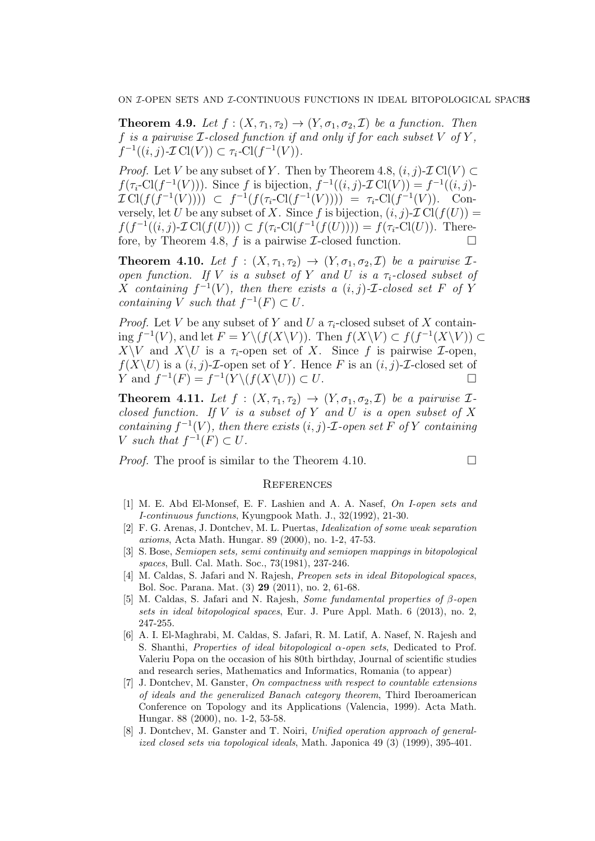**Theorem 4.9.** Let  $f : (X, \tau_1, \tau_2) \to (Y, \sigma_1, \sigma_2, \mathcal{I})$  be a function. Then f is a pairwise  $\mathcal{I}\text{-closed function if and only if for each subset }V$  of  $Y$ .  $f^{-1}((i, j) \text{-} \mathcal{I} \text{Cl}(V)) \subset \tau_i\text{-} \text{Cl}(f^{-1}(V)).$ 

*Proof.* Let V be any subset of Y. Then by Theorem 4.8,  $(i, j)$ - $\mathcal{I}$  Cl(V)  $\subset$  $f(\tau_i\text{-Cl}(f^{-1}(V)))$ . Since f is bijection,  $f^{-1}((i,j)\text{-}\mathcal{I}\text{Cl}(V)) = f^{-1}((i,j)\text{-}$  $\mathcal{I} \text{Cl}(f(f^{-1}(V)))) \subset f^{-1}(f(\tau_i\text{-Cl}(f^{-1}(V)))) = \tau_i\text{-Cl}(f^{-1}(V)).$  Conversely, let U be any subset of X. Since f is bijection,  $(i, j)$ - $\mathcal{I}$  Cl( $f(U)$ ) =  $f(f^{-1}((i, j) \text{-} \mathcal{I} \text{Cl}(f(U))) \subset f(\tau_i\text{-} \text{Cl}(f^{-1}(f(U)))) = f(\tau_i\text{-} \text{Cl}(U))$ . Therefore, by Theorem 4.8, f is a pairwise  $\mathcal{I}\text{-closed function.}$ 

**Theorem 4.10.** Let  $f : (X, \tau_1, \tau_2) \to (Y, \sigma_1, \sigma_2, \mathcal{I})$  be a pairwise  $\mathcal{I}$ open function. If V is a subset of Y and U is a  $\tau_i$ -closed subset of X containing  $f^{-1}(V)$ , then there exists a  $(i, j)$ - $\mathcal{I}$ -closed set F of Y containing V such that  $f^{-1}(F) \subset U$ .

*Proof.* Let V be any subset of Y and U a  $\tau_i$ -closed subset of X containing  $f^{-1}(V)$ , and let  $F = Y \setminus (f(X \setminus V))$ . Then  $f(X \setminus V) \subset f(f^{-1}(X \setminus V))$  ⊂  $X\setminus V$  and  $X\setminus U$  is a  $\tau_i$ -open set of X. Since f is pairwise  $\mathcal{I}$ -open,  $f(X\setminus U)$  is a  $(i, j)$ -*T*-open set of Y. Hence F is an  $(i, j)$ -*T*-closed set of  $Y$  and  $f^{-1}(F) = f^{-1}(Y \setminus (f(X \setminus U)) \subset U$ .

**Theorem 4.11.** Let  $f : (X, \tau_1, \tau_2) \rightarrow (Y, \sigma_1, \sigma_2, \mathcal{I})$  be a pairwise  $\mathcal{I}$ closed function. If V is a subset of Y and U is a open subset of X containing  $f^{-1}(V)$ , then there exists  $(i, j)$ -*T*-open set F of Y containing V such that  $f^{-1}(F) \subset U$ .

*Proof.* The proof is similar to the Theorem 4.10.

### **REFERENCES**

- [1] M. E. Abd El-Monsef, E. F. Lashien and A. A. Nasef, On I-open sets and I-continuous functions, Kyungpook Math. J., 32(1992), 21-30.
- [2] F. G. Arenas, J. Dontchev, M. L. Puertas, Idealization of some weak separation axioms, Acta Math. Hungar. 89 (2000), no. 1-2, 47-53.
- [3] S. Bose, Semiopen sets, semi continuity and semiopen mappings in bitopological spaces, Bull. Cal. Math. Soc., 73(1981), 237-246.
- [4] M. Caldas, S. Jafari and N. Rajesh, Preopen sets in ideal Bitopological spaces, Bol. Soc. Parana. Mat. (3) 29 (2011), no. 2, 61-68.
- [5] M. Caldas, S. Jafari and N. Rajesh, Some fundamental properties of β-open sets in ideal bitopological spaces, Eur. J. Pure Appl. Math. 6 (2013), no. 2, 247-255.
- [6] A. I. El-Maghrabi, M. Caldas, S. Jafari, R. M. Latif, A. Nasef, N. Rajesh and S. Shanthi, *Properties of ideal bitopological*  $\alpha$ -open sets, Dedicated to Prof. Valeriu Popa on the occasion of his 80th birthday, Journal of scientific studies and research series, Mathematics and Informatics, Romania (to appear)
- [7] J. Dontchev, M. Ganster, On compactness with respect to countable extensions of ideals and the generalized Banach category theorem, Third Iberoamerican Conference on Topology and its Applications (Valencia, 1999). Acta Math. Hungar. 88 (2000), no. 1-2, 53-58.
- [8] J. Dontchev, M. Ganster and T. Noiri, Unified operation approach of generalized closed sets via topological ideals, Math. Japonica 49 (3) (1999), 395-401.